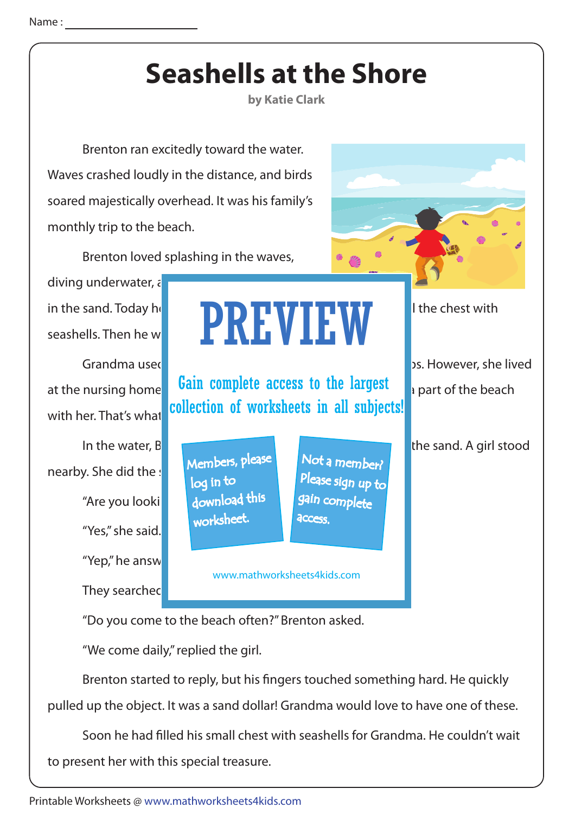## **Seashells at the Shore**

**by Katie Clark**

 Brenton ran excitedly toward the water. Waves crashed loudly in the distance, and birds soared majestically overhead. It was his family's monthly trip to the beach.

Brenton loved splashing in the waves,

diving underwater,  $\varepsilon$ 

"Yes," she said. "Yep," he answ They searched nearby. She did the : "Are you looking for download this the ga

## in the sand. Today he **had a small chest with him. He was made to solut chest with** seashells. Then he would take the seashells to his would take the season of  $\blacksquare$ PREVIEW

at the nursing home **Gain complete access to the largest** with her. That's what collection of worksheets in all subjects!

> Members, please worksheet. log in to

Not a member? gain complete Please sign up to **access** 

 $\bullet$ 

www.mathworksheets4kids.com

"Do you come to the beach often?" Brenton asked.

"We come daily," replied the girl.

Brenton started to reply, but his fingers touched something hard. He quickly pulled up the object. It was a sand dollar! Grandma would love to have one of these.

 Soon he had !lled his small chest with seashells for Grandma. He couldn't wait to present her with this special treasure.

Grandma used to go with the monthly beach them on the set of the set of the set of the set of the set of them o

In the water, B**renton squatter and ran his squatter and range in his squatter and range through the sand. A girl stood**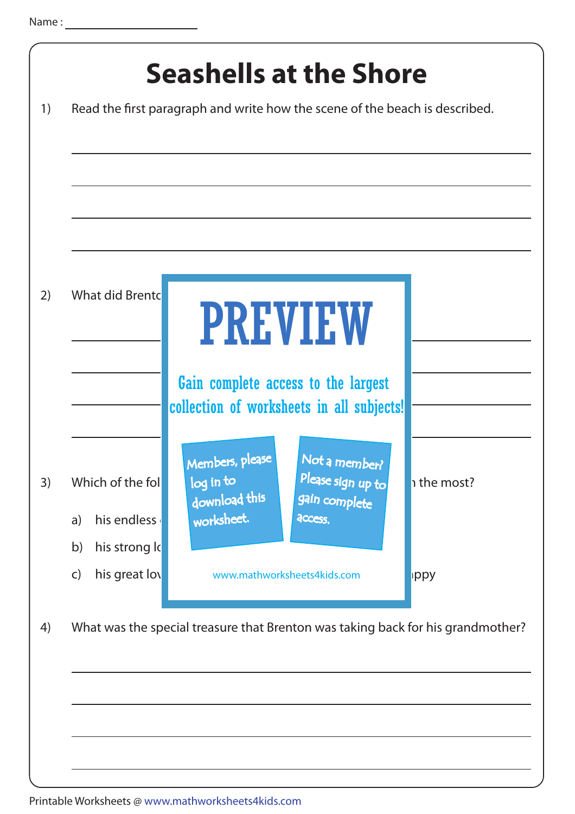|    | What did Brentc                                              | <b>PREVIEW</b><br>Gain complete access to the largest<br>collection of worksheets in all subjects!                            |             |
|----|--------------------------------------------------------------|-------------------------------------------------------------------------------------------------------------------------------|-------------|
| 3) | Which of the fol<br>his endless<br>a)<br>b)<br>his strong lo | Not a member?<br>Members, please<br>Please sign up to<br>log in to<br>download this<br>gain complete<br>worksheet.<br>access. | i the most? |
| 4) | his great lov<br>$\mathsf{C}$                                | www.mathworksheets4kids.com<br>What was the special treasure that Brenton was taking back for his grandmother?                | <b>ippy</b> |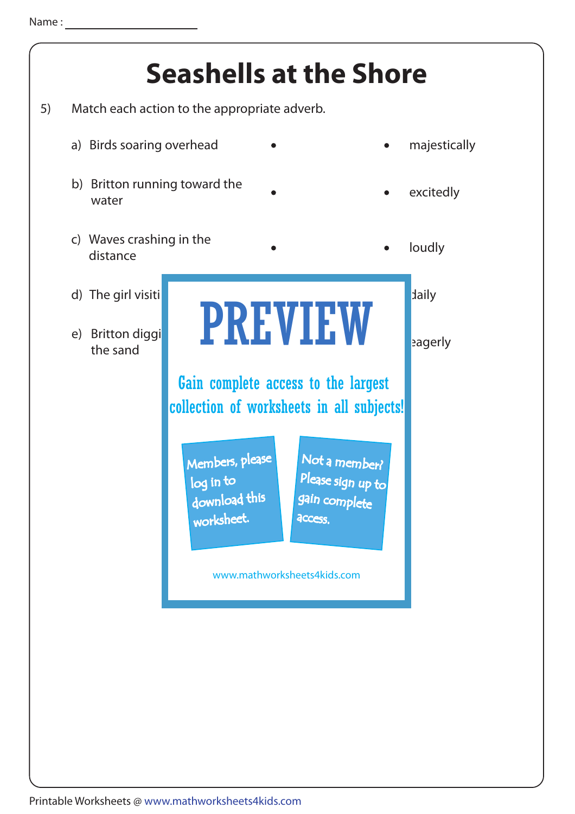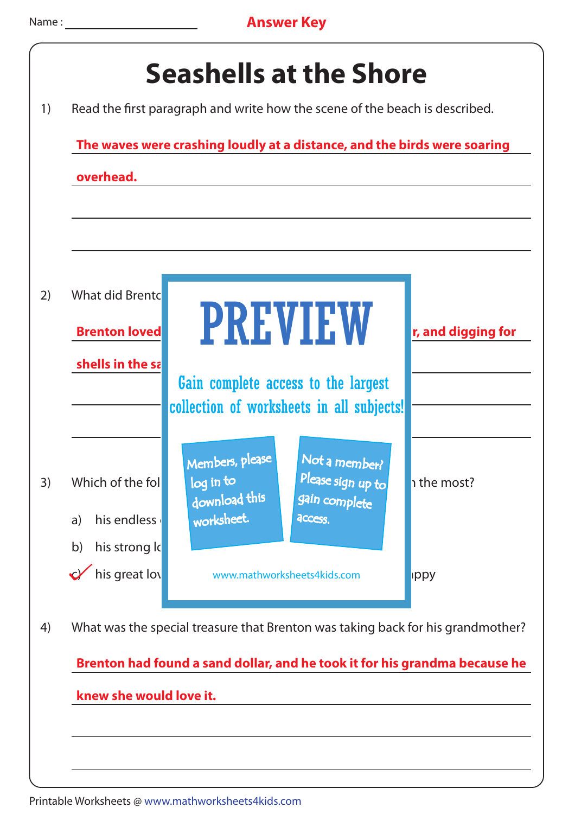| What did Brentc<br><b>Brenton loved</b>          | <b>PREVIEW</b>                                                                                                                | r, and digging for |
|--------------------------------------------------|-------------------------------------------------------------------------------------------------------------------------------|--------------------|
| shells in the sa                                 | Gain complete access to the largest<br>collection of worksheets in all subjects!                                              |                    |
| Which of the fol<br>his endless<br>a)            | Members, please<br>Not a member?<br>Please sign up to<br>log in to<br>download this<br>gain complete<br>worksheet.<br>access. | ו the most?        |
| his strong lo<br>b)<br>$\sqrt{\ }$ his great lov | www.mathworksheets4kids.com                                                                                                   | ippy               |
|                                                  | What was the special treasure that Brenton was taking back for his grandmother?                                               |                    |